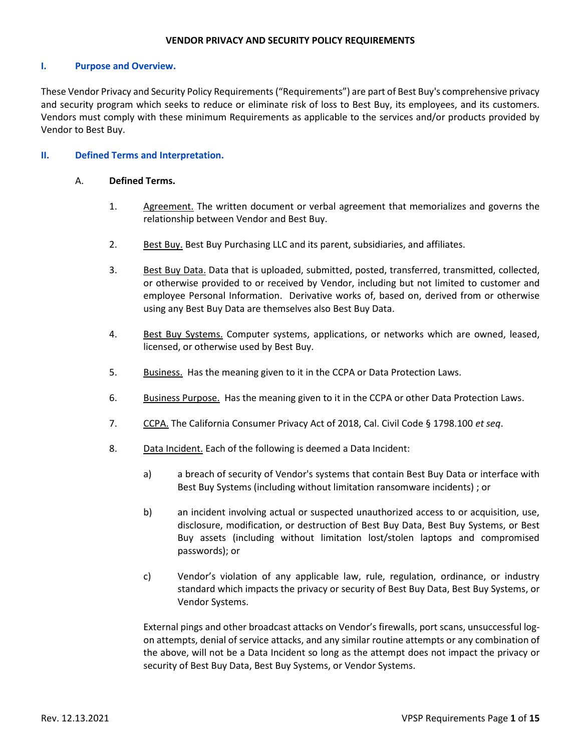#### **VENDOR PRIVACY AND SECURITY POLICY REQUIREMENTS**

#### **I. Purpose and Overview.**

These Vendor Privacy and Security Policy Requirements ("Requirements") are part of Best Buy's comprehensive privacy and security program which seeks to reduce or eliminate risk of loss to Best Buy, its employees, and its customers. Vendors must comply with these minimum Requirements as applicable to the services and/or products provided by Vendor to Best Buy.

### **II. Defined Terms and Interpretation.**

#### A. **Defined Terms.**

- 1. Agreement. The written document or verbal agreement that memorializes and governs the relationship between Vendor and Best Buy.
- 2. Best Buy. Best Buy Purchasing LLC and its parent, subsidiaries, and affiliates.
- 3. Best Buy Data. Data that is uploaded, submitted, posted, transferred, transmitted, collected, or otherwise provided to or received by Vendor, including but not limited to customer and employee Personal Information. Derivative works of, based on, derived from or otherwise using any Best Buy Data are themselves also Best Buy Data.
- 4. Best Buy Systems. Computer systems, applications, or networks which are owned, leased, licensed, or otherwise used by Best Buy.
- 5. Business. Has the meaning given to it in the CCPA or Data Protection Laws.
- 6. Business Purpose. Has the meaning given to it in the CCPA or other Data Protection Laws.
- 7. CCPA. The California Consumer Privacy Act of 2018, Cal. Civil Code § 1798.100 *et seq*.
- 8. Data Incident. Each of the following is deemed a Data Incident:
	- a) a breach of security of Vendor's systems that contain Best Buy Data or interface with Best Buy Systems (including without limitation ransomware incidents) ; or
	- b) an incident involving actual or suspected unauthorized access to or acquisition, use, disclosure, modification, or destruction of Best Buy Data, Best Buy Systems, or Best Buy assets (including without limitation lost/stolen laptops and compromised passwords); or
	- c) Vendor's violation of any applicable law, rule, regulation, ordinance, or industry standard which impacts the privacy or security of Best Buy Data, Best Buy Systems, or Vendor Systems.

External pings and other broadcast attacks on Vendor's firewalls, port scans, unsuccessful logon attempts, denial of service attacks, and any similar routine attempts or any combination of the above, will not be a Data Incident so long as the attempt does not impact the privacy or security of Best Buy Data, Best Buy Systems, or Vendor Systems.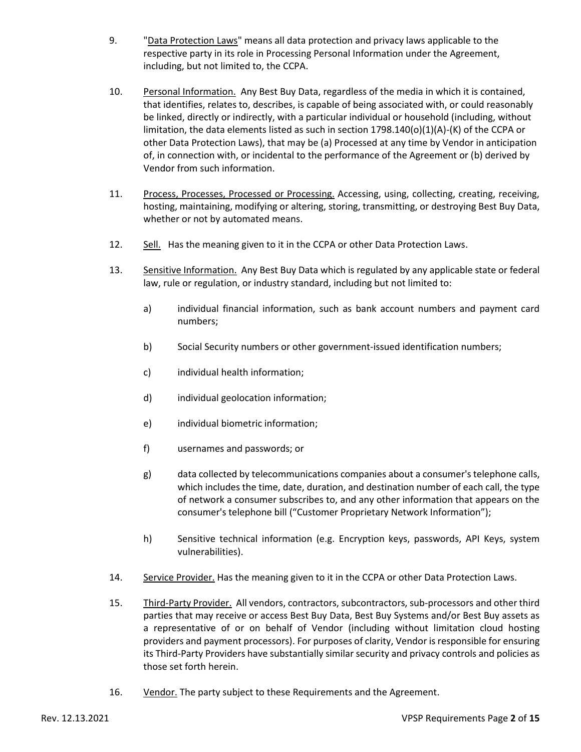- 9. "Data Protection Laws" means all data protection and privacy laws applicable to the respective party in its role in Processing Personal Information under the Agreement, including, but not limited to, the CCPA.
- 10. Personal Information. Any Best Buy Data, regardless of the media in which it is contained, that identifies, relates to, describes, is capable of being associated with, or could reasonably be linked, directly or indirectly, with a particular individual or household (including, without limitation, the data elements listed as such in section 1798.140(o)(1)(A)-(K) of the CCPA or other Data Protection Laws), that may be (a) Processed at any time by Vendor in anticipation of, in connection with, or incidental to the performance of the Agreement or (b) derived by Vendor from such information.
- 11. Process, Processes, Processed or Processing. Accessing, using, collecting, creating, receiving, hosting, maintaining, modifying or altering, storing, transmitting, or destroying Best Buy Data, whether or not by automated means.
- 12. Sell. Has the meaning given to it in the CCPA or other Data Protection Laws.
- 13. Sensitive Information. Any Best Buy Data which is regulated by any applicable state or federal law, rule or regulation, or industry standard, including but not limited to:
	- a) individual financial information, such as bank account numbers and payment card numbers;
	- b) Social Security numbers or other government-issued identification numbers;
	- c) individual health information;
	- d) individual geolocation information;
	- e) individual biometric information;
	- f) usernames and passwords; or
	- g) data collected by telecommunications companies about a consumer's telephone calls, which includes the time, date, duration, and destination number of each call, the type of network a consumer subscribes to, and any other information that appears on the consumer's telephone bill ("Customer Proprietary Network Information");
	- h) Sensitive technical information (e.g. Encryption keys, passwords, API Keys, system vulnerabilities).
- 14. Service Provider. Has the meaning given to it in the CCPA or other Data Protection Laws.
- 15. Third-Party Provider. All vendors, contractors, subcontractors, sub-processors and other third parties that may receive or access Best Buy Data, Best Buy Systems and/or Best Buy assets as a representative of or on behalf of Vendor (including without limitation cloud hosting providers and payment processors). For purposes of clarity, Vendor is responsible for ensuring its Third-Party Providers have substantially similar security and privacy controls and policies as those set forth herein.
- 16. Vendor. The party subject to these Requirements and the Agreement.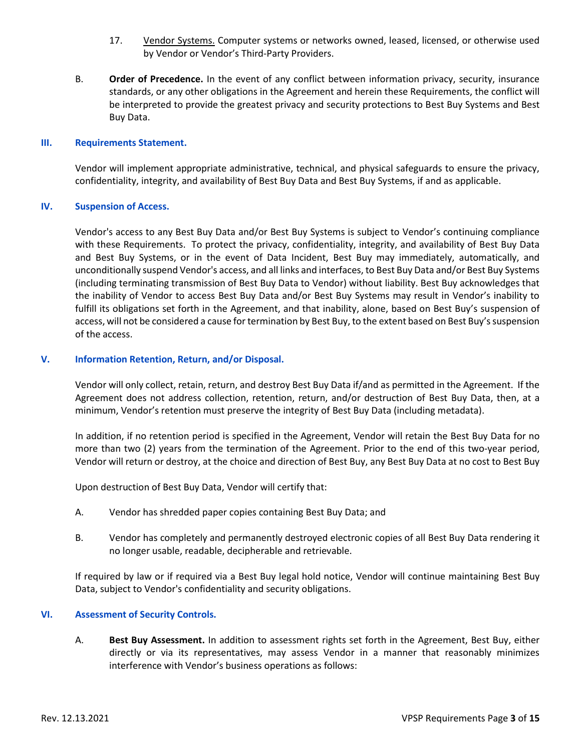- 17. Vendor Systems. Computer systems or networks owned, leased, licensed, or otherwise used by Vendor or Vendor's Third-Party Providers.
- B. **Order of Precedence.** In the event of any conflict between information privacy, security, insurance standards, or any other obligations in the Agreement and herein these Requirements, the conflict will be interpreted to provide the greatest privacy and security protections to Best Buy Systems and Best Buy Data.

### **III. Requirements Statement.**

Vendor will implement appropriate administrative, technical, and physical safeguards to ensure the privacy, confidentiality, integrity, and availability of Best Buy Data and Best Buy Systems, if and as applicable.

### **IV. Suspension of Access.**

Vendor's access to any Best Buy Data and/or Best Buy Systems is subject to Vendor's continuing compliance with these Requirements. To protect the privacy, confidentiality, integrity, and availability of Best Buy Data and Best Buy Systems, or in the event of Data Incident, Best Buy may immediately, automatically, and unconditionally suspend Vendor's access, and all links and interfaces, to Best Buy Data and/or Best Buy Systems (including terminating transmission of Best Buy Data to Vendor) without liability. Best Buy acknowledges that the inability of Vendor to access Best Buy Data and/or Best Buy Systems may result in Vendor's inability to fulfill its obligations set forth in the Agreement, and that inability, alone, based on Best Buy's suspension of access, will not be considered a cause for termination by Best Buy, to the extent based on Best Buy's suspension of the access.

### **V. Information Retention, Return, and/or Disposal.**

Vendor will only collect, retain, return, and destroy Best Buy Data if/and as permitted in the Agreement. If the Agreement does not address collection, retention, return, and/or destruction of Best Buy Data, then, at a minimum, Vendor's retention must preserve the integrity of Best Buy Data (including metadata).

In addition, if no retention period is specified in the Agreement, Vendor will retain the Best Buy Data for no more than two (2) years from the termination of the Agreement. Prior to the end of this two-year period, Vendor will return or destroy, at the choice and direction of Best Buy, any Best Buy Data at no cost to Best Buy

Upon destruction of Best Buy Data, Vendor will certify that:

- A. Vendor has shredded paper copies containing Best Buy Data; and
- B. Vendor has completely and permanently destroyed electronic copies of all Best Buy Data rendering it no longer usable, readable, decipherable and retrievable.

If required by law or if required via a Best Buy legal hold notice, Vendor will continue maintaining Best Buy Data, subject to Vendor's confidentiality and security obligations.

#### **VI. Assessment of Security Controls.**

A. **Best Buy Assessment.** In addition to assessment rights set forth in the Agreement, Best Buy, either directly or via its representatives, may assess Vendor in a manner that reasonably minimizes interference with Vendor's business operations as follows: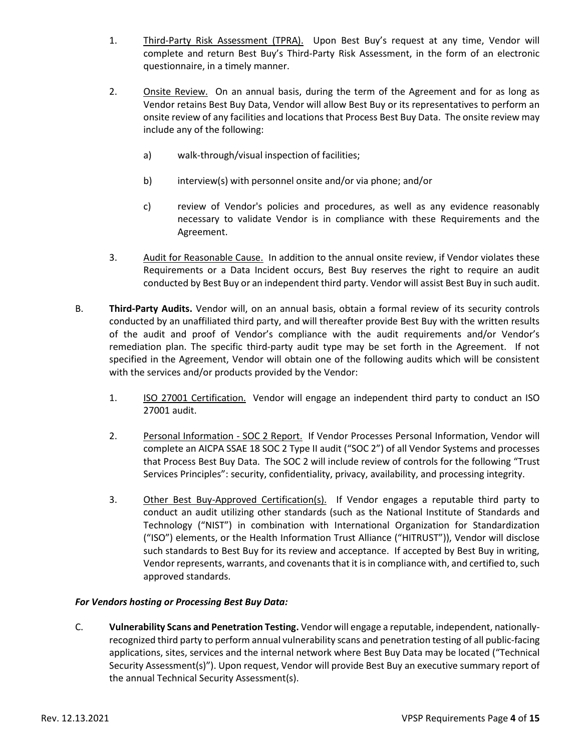- 1. Third-Party Risk Assessment (TPRA). Upon Best Buy's request at any time, Vendor will complete and return Best Buy's Third-Party Risk Assessment, in the form of an electronic questionnaire, in a timely manner.
- 2. Onsite Review. On an annual basis, during the term of the Agreement and for as long as Vendor retains Best Buy Data, Vendor will allow Best Buy or its representatives to perform an onsite review of any facilities and locations that Process Best Buy Data. The onsite review may include any of the following:
	- a) walk-through/visual inspection of facilities;
	- b) interview(s) with personnel onsite and/or via phone; and/or
	- c) review of Vendor's policies and procedures, as well as any evidence reasonably necessary to validate Vendor is in compliance with these Requirements and the Agreement.
- 3. Audit for Reasonable Cause. In addition to the annual onsite review, if Vendor violates these Requirements or a Data Incident occurs, Best Buy reserves the right to require an audit conducted by Best Buy or an independent third party. Vendor will assist Best Buy in such audit.
- B. **Third-Party Audits.** Vendor will, on an annual basis, obtain a formal review of its security controls conducted by an unaffiliated third party, and will thereafter provide Best Buy with the written results of the audit and proof of Vendor's compliance with the audit requirements and/or Vendor's remediation plan. The specific third-party audit type may be set forth in the Agreement. If not specified in the Agreement, Vendor will obtain one of the following audits which will be consistent with the services and/or products provided by the Vendor:
	- 1. ISO 27001 Certification. Vendor will engage an independent third party to conduct an ISO 27001 audit.
	- 2. Personal Information SOC 2 Report. If Vendor Processes Personal Information, Vendor will complete an AICPA SSAE 18 SOC 2 Type II audit ("SOC 2") of all Vendor Systems and processes that Process Best Buy Data. The SOC 2 will include review of controls for the following "Trust Services Principles": security, confidentiality, privacy, availability, and processing integrity.
	- 3. Other Best Buy-Approved Certification(s). If Vendor engages a reputable third party to conduct an audit utilizing other standards (such as the National Institute of Standards and Technology ("NIST") in combination with International Organization for Standardization ("ISO") elements, or the Health Information Trust Alliance ("HITRUST")), Vendor will disclose such standards to Best Buy for its review and acceptance. If accepted by Best Buy in writing, Vendor represents, warrants, and covenants that it is in compliance with, and certified to, such approved standards.

# *For Vendors hosting or Processing Best Buy Data:*

C. **Vulnerability Scans and Penetration Testing.** Vendor will engage a reputable, independent, nationallyrecognized third party to perform annual vulnerability scans and penetration testing of all public-facing applications, sites, services and the internal network where Best Buy Data may be located ("Technical Security Assessment(s)"). Upon request, Vendor will provide Best Buy an executive summary report of the annual Technical Security Assessment(s).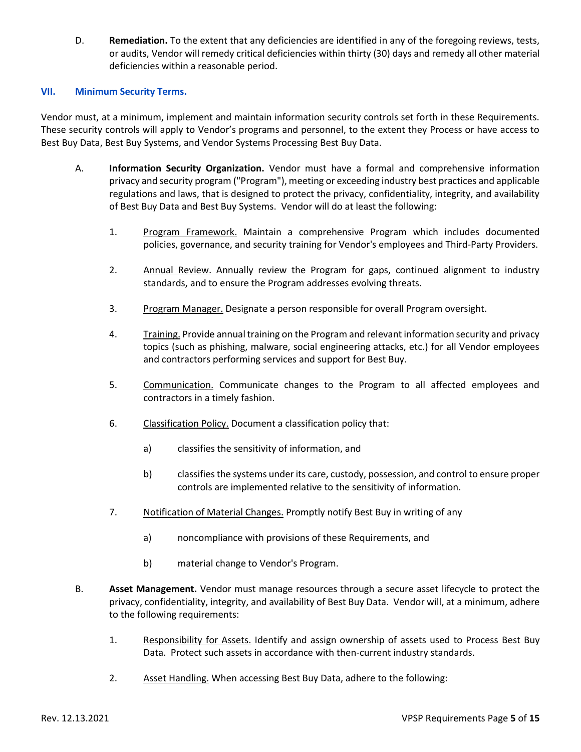D. **Remediation.** To the extent that any deficiencies are identified in any of the foregoing reviews, tests, or audits, Vendor will remedy critical deficiencies within thirty (30) days and remedy all other material deficiencies within a reasonable period.

### **VII. Minimum Security Terms.**

Vendor must, at a minimum, implement and maintain information security controls set forth in these Requirements. These security controls will apply to Vendor's programs and personnel, to the extent they Process or have access to Best Buy Data, Best Buy Systems, and Vendor Systems Processing Best Buy Data.

- A. **Information Security Organization.** Vendor must have a formal and comprehensive information privacy and security program ("Program"), meeting or exceeding industry best practices and applicable regulations and laws, that is designed to protect the privacy, confidentiality, integrity, and availability of Best Buy Data and Best Buy Systems. Vendor will do at least the following:
	- 1. Program Framework. Maintain a comprehensive Program which includes documented policies, governance, and security training for Vendor's employees and Third-Party Providers.
	- 2. Annual Review. Annually review the Program for gaps, continued alignment to industry standards, and to ensure the Program addresses evolving threats.
	- 3. Program Manager. Designate a person responsible for overall Program oversight.
	- 4. Training. Provide annual training on the Program and relevant information security and privacy topics (such as phishing, malware, social engineering attacks, etc.) for all Vendor employees and contractors performing services and support for Best Buy.
	- 5. Communication. Communicate changes to the Program to all affected employees and contractors in a timely fashion.
	- 6. Classification Policy. Document a classification policy that:
		- a) classifies the sensitivity of information, and
		- b) classifies the systems under its care, custody, possession, and control to ensure proper controls are implemented relative to the sensitivity of information.
	- 7. Notification of Material Changes. Promptly notify Best Buy in writing of any
		- a) noncompliance with provisions of these Requirements, and
		- b) material change to Vendor's Program.
- B. **Asset Management.** Vendor must manage resources through a secure asset lifecycle to protect the privacy, confidentiality, integrity, and availability of Best Buy Data. Vendor will, at a minimum, adhere to the following requirements:
	- 1. Responsibility for Assets. Identify and assign ownership of assets used to Process Best Buy Data. Protect such assets in accordance with then-current industry standards.
	- 2. Asset Handling. When accessing Best Buy Data, adhere to the following: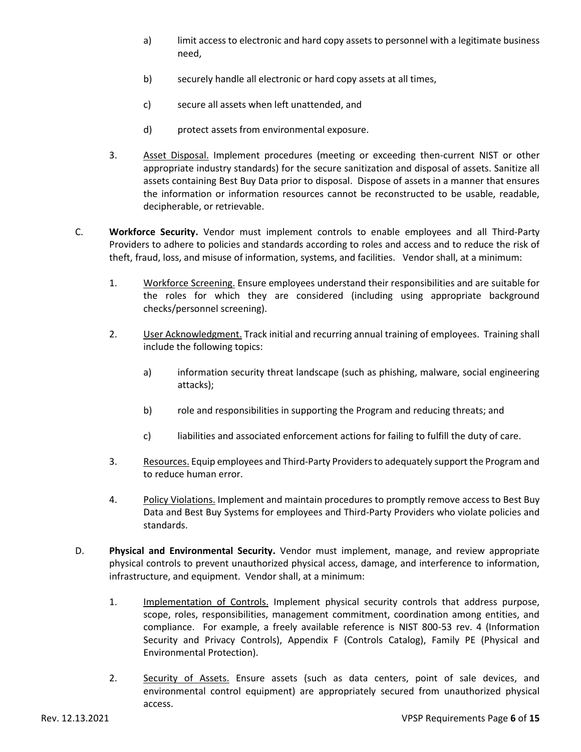- a) limit access to electronic and hard copy assets to personnel with a legitimate business need,
- b) securely handle all electronic or hard copy assets at all times,
- c) secure all assets when left unattended, and
- d) protect assets from environmental exposure.
- 3. Asset Disposal. Implement procedures (meeting or exceeding then-current NIST or other appropriate industry standards) for the secure sanitization and disposal of assets. Sanitize all assets containing Best Buy Data prior to disposal. Dispose of assets in a manner that ensures the information or information resources cannot be reconstructed to be usable, readable, decipherable, or retrievable.
- C. **Workforce Security.** Vendor must implement controls to enable employees and all Third-Party Providers to adhere to policies and standards according to roles and access and to reduce the risk of theft, fraud, loss, and misuse of information, systems, and facilities. Vendor shall, at a minimum:
	- 1. Workforce Screening. Ensure employees understand their responsibilities and are suitable for the roles for which they are considered (including using appropriate background checks/personnel screening).
	- 2. User Acknowledgment. Track initial and recurring annual training of employees. Training shall include the following topics:
		- a) information security threat landscape (such as phishing, malware, social engineering attacks);
		- b) role and responsibilities in supporting the Program and reducing threats; and
		- c) liabilities and associated enforcement actions for failing to fulfill the duty of care.
	- 3. Resources. Equip employees and Third-Party Providers to adequately support the Program and to reduce human error.
	- 4. Policy Violations. Implement and maintain procedures to promptly remove access to Best Buy Data and Best Buy Systems for employees and Third-Party Providers who violate policies and standards.
- D. **Physical and Environmental Security.** Vendor must implement, manage, and review appropriate physical controls to prevent unauthorized physical access, damage, and interference to information, infrastructure, and equipment. Vendor shall, at a minimum:
	- 1. Implementation of Controls. Implement physical security controls that address purpose, scope, roles, responsibilities, management commitment, coordination among entities, and compliance. For example, a freely available reference is NIST 800-53 rev. 4 (Information Security and Privacy Controls), Appendix F (Controls Catalog), Family PE (Physical and Environmental Protection).
	- 2. Security of Assets. Ensure assets (such as data centers, point of sale devices, and environmental control equipment) are appropriately secured from unauthorized physical access.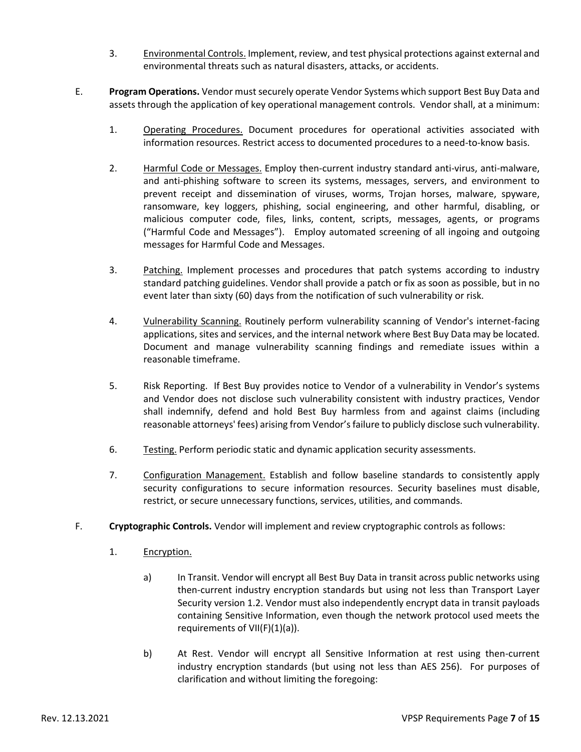- 3. Environmental Controls. Implement, review, and test physical protections against external and environmental threats such as natural disasters, attacks, or accidents.
- E. **Program Operations.** Vendor must securely operate Vendor Systems which support Best Buy Data and assets through the application of key operational management controls. Vendor shall, at a minimum:
	- 1. Operating Procedures. Document procedures for operational activities associated with information resources. Restrict access to documented procedures to a need-to-know basis.
	- 2. Harmful Code or Messages. Employ then-current industry standard anti-virus, anti-malware, and anti-phishing software to screen its systems, messages, servers, and environment to prevent receipt and dissemination of viruses, worms, Trojan horses, malware, spyware, ransomware, key loggers, phishing, social engineering, and other harmful, disabling, or malicious computer code, files, links, content, scripts, messages, agents, or programs ("Harmful Code and Messages"). Employ automated screening of all ingoing and outgoing messages for Harmful Code and Messages.
	- 3. Patching. Implement processes and procedures that patch systems according to industry standard patching guidelines. Vendor shall provide a patch or fix as soon as possible, but in no event later than sixty (60) days from the notification of such vulnerability or risk.
	- 4. Vulnerability Scanning. Routinely perform vulnerability scanning of Vendor's internet-facing applications, sites and services, and the internal network where Best Buy Data may be located. Document and manage vulnerability scanning findings and remediate issues within a reasonable timeframe.
	- 5. Risk Reporting. If Best Buy provides notice to Vendor of a vulnerability in Vendor's systems and Vendor does not disclose such vulnerability consistent with industry practices, Vendor shall indemnify, defend and hold Best Buy harmless from and against claims (including reasonable attorneys' fees) arising from Vendor's failure to publicly disclose such vulnerability.
	- 6. Testing. Perform periodic static and dynamic application security assessments.
	- 7. Configuration Management. Establish and follow baseline standards to consistently apply security configurations to secure information resources. Security baselines must disable, restrict, or secure unnecessary functions, services, utilities, and commands.
- F. **Cryptographic Controls.** Vendor will implement and review cryptographic controls as follows:
	- 1. Encryption.
		- a) In Transit. Vendor will encrypt all Best Buy Data in transit across public networks using then-current industry encryption standards but using not less than Transport Layer Security version 1.2. Vendor must also independently encrypt data in transit payloads containing Sensitive Information, even though the network protocol used meets the requirements of  $VII(F)(1)(a)$ ).
		- b) At Rest. Vendor will encrypt all Sensitive Information at rest using then-current industry encryption standards (but using not less than AES 256). For purposes of clarification and without limiting the foregoing: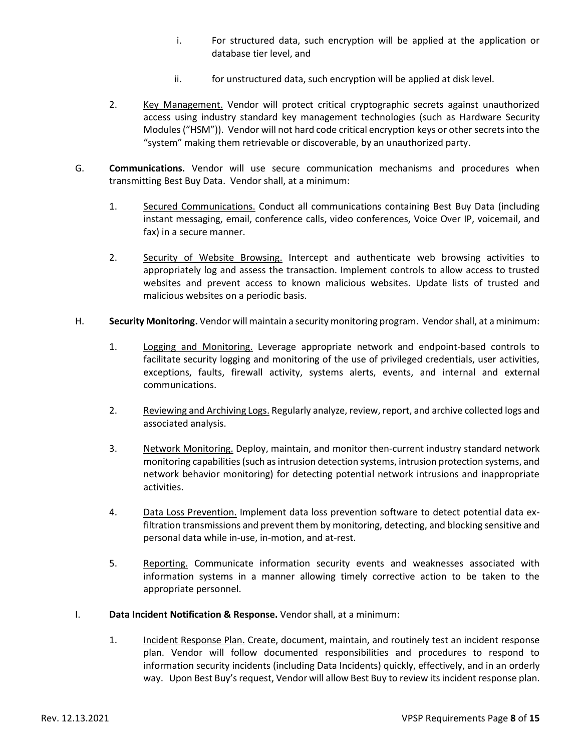- i. For structured data, such encryption will be applied at the application or database tier level, and
- ii. for unstructured data, such encryption will be applied at disk level.
- 2. Key Management. Vendor will protect critical cryptographic secrets against unauthorized access using industry standard key management technologies (such as Hardware Security Modules ("HSM")). Vendor will not hard code critical encryption keys or other secrets into the "system" making them retrievable or discoverable, by an unauthorized party.
- G. **Communications.** Vendor will use secure communication mechanisms and procedures when transmitting Best Buy Data. Vendor shall, at a minimum:
	- 1. Secured Communications. Conduct all communications containing Best Buy Data (including instant messaging, email, conference calls, video conferences, Voice Over IP, voicemail, and fax) in a secure manner.
	- 2. Security of Website Browsing. Intercept and authenticate web browsing activities to appropriately log and assess the transaction. Implement controls to allow access to trusted websites and prevent access to known malicious websites. Update lists of trusted and malicious websites on a periodic basis.
- H. **Security Monitoring.** Vendor will maintain a security monitoring program. Vendor shall, at a minimum:
	- 1. Logging and Monitoring. Leverage appropriate network and endpoint-based controls to facilitate security logging and monitoring of the use of privileged credentials, user activities, exceptions, faults, firewall activity, systems alerts, events, and internal and external communications.
	- 2. Reviewing and Archiving Logs. Regularly analyze, review, report, and archive collected logs and associated analysis.
	- 3. Network Monitoring. Deploy, maintain, and monitor then-current industry standard network monitoring capabilities (such as intrusion detection systems, intrusion protection systems, and network behavior monitoring) for detecting potential network intrusions and inappropriate activities.
	- 4. Data Loss Prevention. Implement data loss prevention software to detect potential data exfiltration transmissions and prevent them by monitoring, detecting, and blocking sensitive and personal data while in-use, in-motion, and at-rest.
	- 5. Reporting. Communicate information security events and weaknesses associated with information systems in a manner allowing timely corrective action to be taken to the appropriate personnel.
- I. **Data Incident Notification & Response.** Vendor shall, at a minimum:
	- 1. Incident Response Plan. Create, document, maintain, and routinely test an incident response plan. Vendor will follow documented responsibilities and procedures to respond to information security incidents (including Data Incidents) quickly, effectively, and in an orderly way. Upon Best Buy's request, Vendor will allow Best Buy to review its incident response plan.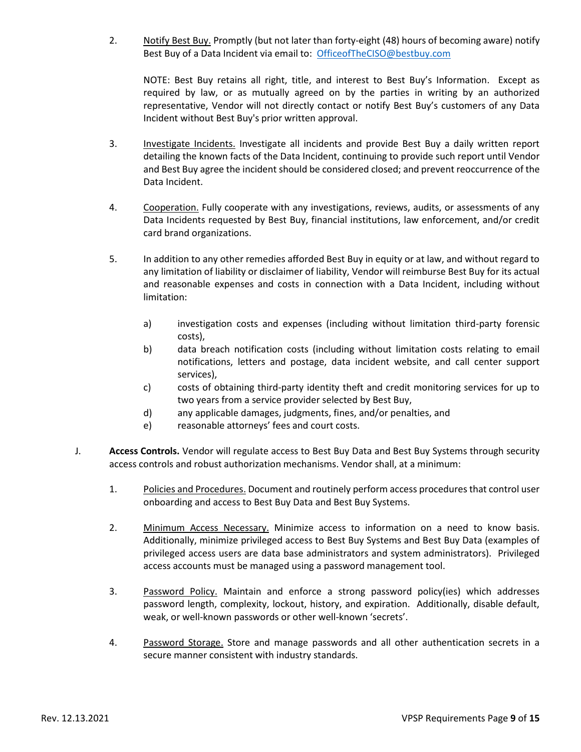2. Notify Best Buy. Promptly (but not later than forty-eight (48) hours of becoming aware) notify Best Buy of a Data Incident via email to: [OfficeofTheCISO@bestbuy.com](mailto:OfficeofTheCISO@bestbuy.com)

NOTE: Best Buy retains all right, title, and interest to Best Buy's Information. Except as required by law, or as mutually agreed on by the parties in writing by an authorized representative, Vendor will not directly contact or notify Best Buy's customers of any Data Incident without Best Buy's prior written approval.

- 3. Investigate Incidents. Investigate all incidents and provide Best Buy a daily written report detailing the known facts of the Data Incident, continuing to provide such report until Vendor and Best Buy agree the incident should be considered closed; and prevent reoccurrence of the Data Incident.
- 4. Cooperation. Fully cooperate with any investigations, reviews, audits, or assessments of any Data Incidents requested by Best Buy, financial institutions, law enforcement, and/or credit card brand organizations.
- 5. In addition to any other remedies afforded Best Buy in equity or at law, and without regard to any limitation of liability or disclaimer of liability, Vendor will reimburse Best Buy for its actual and reasonable expenses and costs in connection with a Data Incident, including without limitation:
	- a) investigation costs and expenses (including without limitation third-party forensic costs),
	- b) data breach notification costs (including without limitation costs relating to email notifications, letters and postage, data incident website, and call center support services),
	- c) costs of obtaining third-party identity theft and credit monitoring services for up to two years from a service provider selected by Best Buy,
	- d) any applicable damages, judgments, fines, and/or penalties, and
	- e) reasonable attorneys' fees and court costs.
- J. **Access Controls.** Vendor will regulate access to Best Buy Data and Best Buy Systems through security access controls and robust authorization mechanisms. Vendor shall, at a minimum:
	- 1. Policies and Procedures. Document and routinely perform access procedures that control user onboarding and access to Best Buy Data and Best Buy Systems.
	- 2. Minimum Access Necessary. Minimize access to information on a need to know basis. Additionally, minimize privileged access to Best Buy Systems and Best Buy Data (examples of privileged access users are data base administrators and system administrators). Privileged access accounts must be managed using a password management tool.
	- 3. Password Policy. Maintain and enforce a strong password policy(ies) which addresses password length, complexity, lockout, history, and expiration. Additionally, disable default, weak, or well-known passwords or other well-known 'secrets'.
	- 4. Password Storage. Store and manage passwords and all other authentication secrets in a secure manner consistent with industry standards.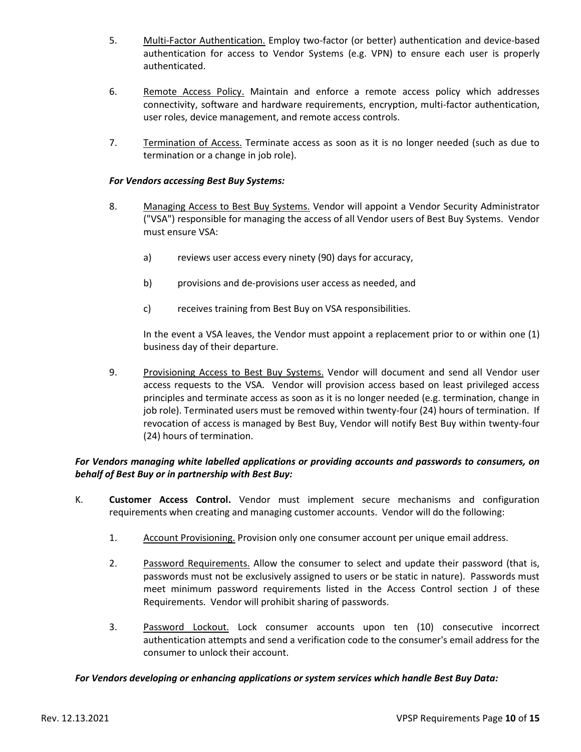- 5. Multi-Factor Authentication. Employ two-factor (or better) authentication and device-based authentication for access to Vendor Systems (e.g. VPN) to ensure each user is properly authenticated.
- 6. Remote Access Policy. Maintain and enforce a remote access policy which addresses connectivity, software and hardware requirements, encryption, multi-factor authentication, user roles, device management, and remote access controls.
- 7. Termination of Access. Terminate access as soon as it is no longer needed (such as due to termination or a change in job role).

### *For Vendors accessing Best Buy Systems:*

- 8. Managing Access to Best Buy Systems. Vendor will appoint a Vendor Security Administrator ("VSA") responsible for managing the access of all Vendor users of Best Buy Systems. Vendor must ensure VSA:
	- a) reviews user access every ninety (90) days for accuracy,
	- b) provisions and de-provisions user access as needed, and
	- c) receives training from Best Buy on VSA responsibilities.

In the event a VSA leaves, the Vendor must appoint a replacement prior to or within one (1) business day of their departure.

9. Provisioning Access to Best Buy Systems. Vendor will document and send all Vendor user access requests to the VSA. Vendor will provision access based on least privileged access principles and terminate access as soon as it is no longer needed (e.g. termination, change in job role). Terminated users must be removed within twenty-four (24) hours of termination. If revocation of access is managed by Best Buy, Vendor will notify Best Buy within twenty-four (24) hours of termination.

### *For Vendors managing white labelled applications or providing accounts and passwords to consumers, on behalf of Best Buy or in partnership with Best Buy:*

- K. **Customer Access Control.** Vendor must implement secure mechanisms and configuration requirements when creating and managing customer accounts. Vendor will do the following:
	- 1. Account Provisioning. Provision only one consumer account per unique email address.
	- 2. Password Requirements. Allow the consumer to select and update their password (that is, passwords must not be exclusively assigned to users or be static in nature). Passwords must meet minimum password requirements listed in the Access Control section J of these Requirements. Vendor will prohibit sharing of passwords.
	- 3. Password Lockout. Lock consumer accounts upon ten (10) consecutive incorrect authentication attempts and send a verification code to the consumer's email address for the consumer to unlock their account.

#### *For Vendors developing or enhancing applications or system services which handle Best Buy Data:*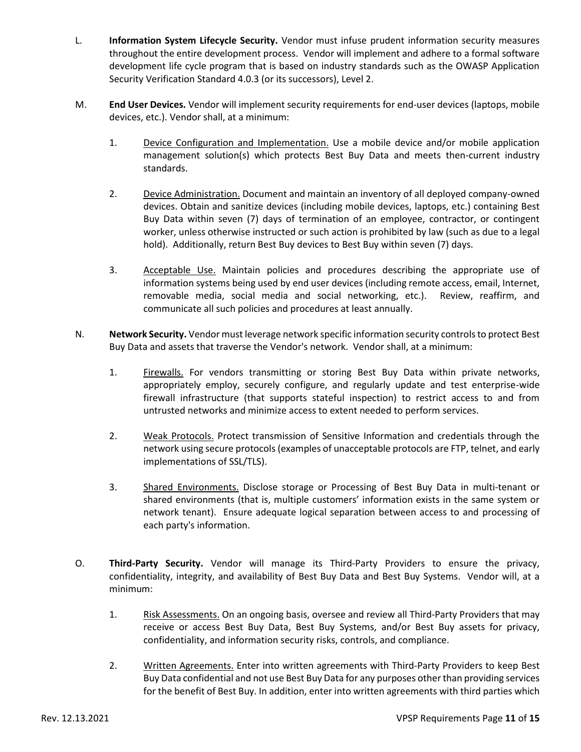- L. **Information System Lifecycle Security.** Vendor must infuse prudent information security measures throughout the entire development process. Vendor will implement and adhere to a formal software development life cycle program that is based on industry standards such as the OWASP Application Security Verification Standard 4.0.3 (or its successors), Level 2.
- M. **End User Devices.** Vendor will implement security requirements for end-user devices (laptops, mobile devices, etc.). Vendor shall, at a minimum:
	- 1. Device Configuration and Implementation. Use a mobile device and/or mobile application management solution(s) which protects Best Buy Data and meets then-current industry standards.
	- 2. Device Administration. Document and maintain an inventory of all deployed company-owned devices. Obtain and sanitize devices (including mobile devices, laptops, etc.) containing Best Buy Data within seven (7) days of termination of an employee, contractor, or contingent worker, unless otherwise instructed or such action is prohibited by law (such as due to a legal hold). Additionally, return Best Buy devices to Best Buy within seven (7) days.
	- 3. Acceptable Use. Maintain policies and procedures describing the appropriate use of information systems being used by end user devices (including remote access, email, Internet, removable media, social media and social networking, etc.). Review, reaffirm, and communicate all such policies and procedures at least annually.
- N. **Network Security.** Vendor must leverage network specific information security controls to protect Best Buy Data and assets that traverse the Vendor's network. Vendor shall, at a minimum:
	- 1. Firewalls. For vendors transmitting or storing Best Buy Data within private networks, appropriately employ, securely configure, and regularly update and test enterprise-wide firewall infrastructure (that supports stateful inspection) to restrict access to and from untrusted networks and minimize access to extent needed to perform services.
	- 2. Weak Protocols. Protect transmission of Sensitive Information and credentials through the network using secure protocols (examples of unacceptable protocols are FTP, telnet, and early implementations of SSL/TLS).
	- 3. Shared Environments. Disclose storage or Processing of Best Buy Data in multi-tenant or shared environments (that is, multiple customers' information exists in the same system or network tenant). Ensure adequate logical separation between access to and processing of each party's information.
- O. **Third-Party Security.** Vendor will manage its Third-Party Providers to ensure the privacy, confidentiality, integrity, and availability of Best Buy Data and Best Buy Systems. Vendor will, at a minimum:
	- 1. Risk Assessments. On an ongoing basis, oversee and review all Third-Party Providers that may receive or access Best Buy Data, Best Buy Systems, and/or Best Buy assets for privacy, confidentiality, and information security risks, controls, and compliance.
	- 2. Written Agreements. Enter into written agreements with Third-Party Providers to keep Best Buy Data confidential and not use Best Buy Data for any purposes other than providing services for the benefit of Best Buy. In addition, enter into written agreements with third parties which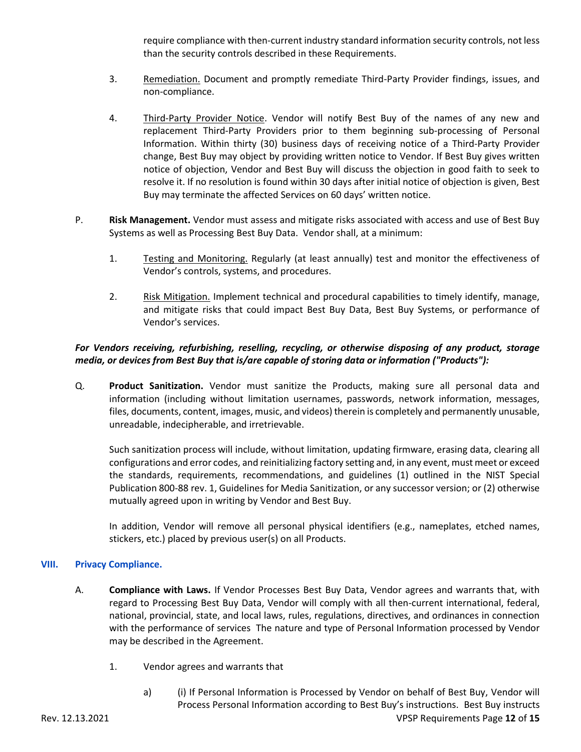require compliance with then-current industry standard information security controls, not less than the security controls described in these Requirements.

- 3. Remediation. Document and promptly remediate Third-Party Provider findings, issues, and non-compliance.
- 4. Third-Party Provider Notice. Vendor will notify Best Buy of the names of any new and replacement Third-Party Providers prior to them beginning sub-processing of Personal Information. Within thirty (30) business days of receiving notice of a Third-Party Provider change, Best Buy may object by providing written notice to Vendor. If Best Buy gives written notice of objection, Vendor and Best Buy will discuss the objection in good faith to seek to resolve it. If no resolution is found within 30 days after initial notice of objection is given, Best Buy may terminate the affected Services on 60 days' written notice.
- P. **Risk Management.** Vendor must assess and mitigate risks associated with access and use of Best Buy Systems as well as Processing Best Buy Data. Vendor shall, at a minimum:
	- 1. Testing and Monitoring. Regularly (at least annually) test and monitor the effectiveness of Vendor's controls, systems, and procedures.
	- 2. Risk Mitigation. Implement technical and procedural capabilities to timely identify, manage, and mitigate risks that could impact Best Buy Data, Best Buy Systems, or performance of Vendor's services.

# *For Vendors receiving, refurbishing, reselling, recycling, or otherwise disposing of any product, storage media, or devices from Best Buy that is/are capable of storing data or information ("Products"):*

Q. **Product Sanitization.** Vendor must sanitize the Products, making sure all personal data and information (including without limitation usernames, passwords, network information, messages, files, documents, content, images, music, and videos) therein is completely and permanently unusable, unreadable, indecipherable, and irretrievable.

Such sanitization process will include, without limitation, updating firmware, erasing data, clearing all configurations and error codes, and reinitializing factory setting and, in any event, must meet or exceed the standards, requirements, recommendations, and guidelines (1) outlined in the NIST Special Publication 800-88 rev. 1, Guidelines for Media Sanitization, or any successor version; or (2) otherwise mutually agreed upon in writing by Vendor and Best Buy.

In addition, Vendor will remove all personal physical identifiers (e.g., nameplates, etched names, stickers, etc.) placed by previous user(s) on all Products.

### **VIII. Privacy Compliance.**

- A. **Compliance with Laws.** If Vendor Processes Best Buy Data, Vendor agrees and warrants that, with regard to Processing Best Buy Data, Vendor will comply with all then-current international, federal, national, provincial, state, and local laws, rules, regulations, directives, and ordinances in connection with the performance of services The nature and type of Personal Information processed by Vendor may be described in the Agreement.
	- 1. Vendor agrees and warrants that
- Rev. 12.13.2021 VPSP Requirements Page **12** of **15** a) (i) If Personal Information is Processed by Vendor on behalf of Best Buy, Vendor will Process Personal Information according to Best Buy's instructions. Best Buy instructs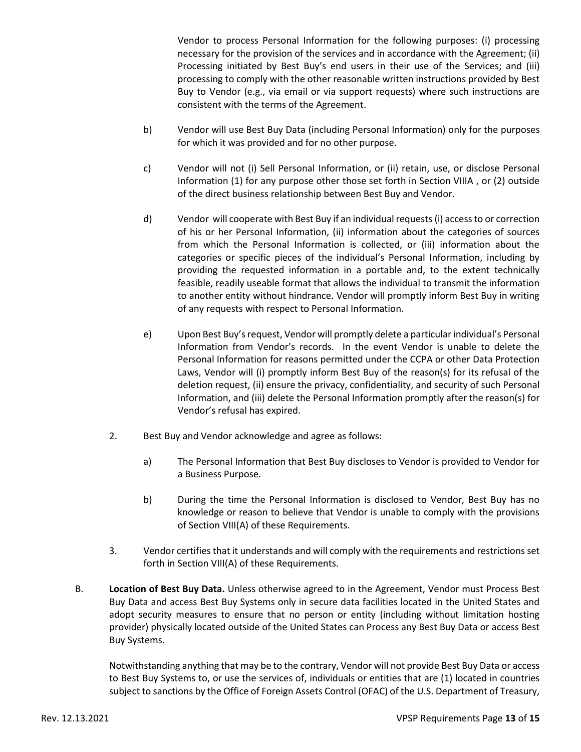Vendor to process Personal Information for the following purposes: (i) processing necessary for the provision of the services and in accordance with the Agreement; (ii) Processing initiated by Best Buy's end users in their use of the Services; and (iii) processing to comply with the other reasonable written instructions provided by Best Buy to Vendor (e.g., via email or via support requests) where such instructions are consistent with the terms of the Agreement.

- b) Vendor will use Best Buy Data (including Personal Information) only for the purposes for which it was provided and for no other purpose.
- c) Vendor will not (i) Sell Personal Information, or (ii) retain, use, or disclose Personal Information (1) for any purpose other those set forth in Section VIIIA , or (2) outside of the direct business relationship between Best Buy and Vendor.
- d) Vendor will cooperate with Best Buy if an individual requests (i) access to or correction of his or her Personal Information, (ii) information about the categories of sources from which the Personal Information is collected, or (iii) information about the categories or specific pieces of the individual's Personal Information, including by providing the requested information in a portable and, to the extent technically feasible, readily useable format that allows the individual to transmit the information to another entity without hindrance. Vendor will promptly inform Best Buy in writing of any requests with respect to Personal Information.
- e) Upon Best Buy's request, Vendor will promptly delete a particular individual's Personal Information from Vendor's records. In the event Vendor is unable to delete the Personal Information for reasons permitted under the CCPA or other Data Protection Laws, Vendor will (i) promptly inform Best Buy of the reason(s) for its refusal of the deletion request, (ii) ensure the privacy, confidentiality, and security of such Personal Information, and (iii) delete the Personal Information promptly after the reason(s) for Vendor's refusal has expired.
- 2. Best Buy and Vendor acknowledge and agree as follows:
	- a) The Personal Information that Best Buy discloses to Vendor is provided to Vendor for a Business Purpose.
	- b) During the time the Personal Information is disclosed to Vendor, Best Buy has no knowledge or reason to believe that Vendor is unable to comply with the provisions of Section VIII(A) of these Requirements.
- 3. Vendor certifies that it understands and will comply with the requirements and restrictions set forth in Section VIII(A) of these Requirements.
- B. **Location of Best Buy Data.** Unless otherwise agreed to in the Agreement, Vendor must Process Best Buy Data and access Best Buy Systems only in secure data facilities located in the United States and adopt security measures to ensure that no person or entity (including without limitation hosting provider) physically located outside of the United States can Process any Best Buy Data or access Best Buy Systems.

Notwithstanding anything that may be to the contrary, Vendor will not provide Best Buy Data or access to Best Buy Systems to, or use the services of, individuals or entities that are (1) located in countries subject to sanctions by the Office of Foreign Assets Control (OFAC) of the U.S. Department of Treasury,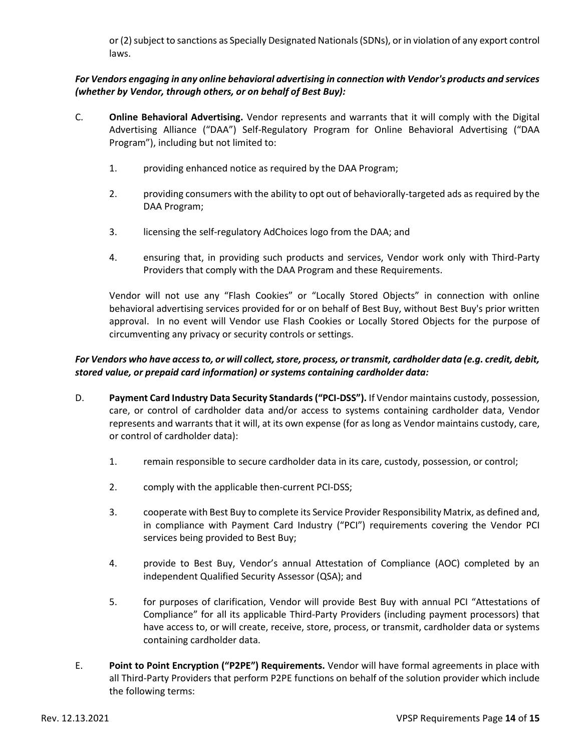or (2) subject to sanctions as Specially Designated Nationals (SDNs), or in violation of any export control laws.

# *For Vendors engaging in any online behavioral advertising in connection with Vendor's products and services (whether by Vendor, through others, or on behalf of Best Buy):*

- C. **Online Behavioral Advertising.** Vendor represents and warrants that it will comply with the Digital Advertising Alliance ("DAA") Self-Regulatory Program for Online Behavioral Advertising ("DAA Program"), including but not limited to:
	- 1. providing enhanced notice as required by the DAA Program;
	- 2. providing consumers with the ability to opt out of behaviorally-targeted ads as required by the DAA Program;
	- 3. licensing the self-regulatory AdChoices logo from the DAA; and
	- 4. ensuring that, in providing such products and services, Vendor work only with Third-Party Providers that comply with the DAA Program and these Requirements.

Vendor will not use any "Flash Cookies" or "Locally Stored Objects" in connection with online behavioral advertising services provided for or on behalf of Best Buy, without Best Buy's prior written approval. In no event will Vendor use Flash Cookies or Locally Stored Objects for the purpose of circumventing any privacy or security controls or settings.

# *For Vendors who have access to, or will collect, store, process, or transmit, cardholder data (e.g. credit, debit, stored value, or prepaid card information) or systems containing cardholder data:*

- D. **Payment Card Industry Data Security Standards ("PCI-DSS").** If Vendor maintains custody, possession, care, or control of cardholder data and/or access to systems containing cardholder data, Vendor represents and warrants that it will, at its own expense (for as long as Vendor maintains custody, care, or control of cardholder data):
	- 1. remain responsible to secure cardholder data in its care, custody, possession, or control;
	- 2. comply with the applicable then-current PCI-DSS;
	- 3. cooperate with Best Buy to complete its Service Provider Responsibility Matrix, as defined and, in compliance with Payment Card Industry ("PCI") requirements covering the Vendor PCI services being provided to Best Buy;
	- 4. provide to Best Buy, Vendor's annual Attestation of Compliance (AOC) completed by an independent Qualified Security Assessor (QSA); and
	- 5. for purposes of clarification, Vendor will provide Best Buy with annual PCI "Attestations of Compliance" for all its applicable Third-Party Providers (including payment processors) that have access to, or will create, receive, store, process, or transmit, cardholder data or systems containing cardholder data.
- E. **Point to Point Encryption ("P2PE") Requirements.** Vendor will have formal agreements in place with all Third-Party Providers that perform P2PE functions on behalf of the solution provider which include the following terms: